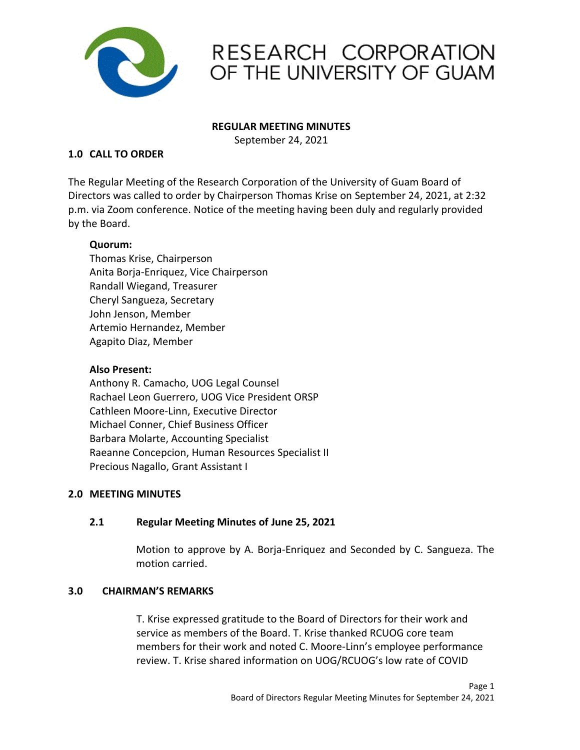

# RESEARCH CORPORATION OF THE UNIVERSITY OF GUAM

### **REGULAR MEETING MINUTES**

September 24, 2021

### **1.0 CALL TO ORDER**

The Regular Meeting of the Research Corporation of the University of Guam Board of Directors was called to order by Chairperson Thomas Krise on September 24, 2021, at 2:32 p.m. via Zoom conference. Notice of the meeting having been duly and regularly provided by the Board.

### **Quorum:**

Thomas Krise, Chairperson Anita Borja-Enriquez, Vice Chairperson Randall Wiegand, Treasurer Cheryl Sangueza, Secretary John Jenson, Member Artemio Hernandez, Member Agapito Diaz, Member

### **Also Present:**

Anthony R. Camacho, UOG Legal Counsel Rachael Leon Guerrero, UOG Vice President ORSP Cathleen Moore-Linn, Executive Director Michael Conner, Chief Business Officer Barbara Molarte, Accounting Specialist Raeanne Concepcion, Human Resources Specialist II Precious Nagallo, Grant Assistant I

### **2.0 MEETING MINUTES**

### **2.1 Regular Meeting Minutes of June 25, 2021**

Motion to approve by A. Borja-Enriquez and Seconded by C. Sangueza. The motion carried.

### **3.0 CHAIRMAN'S REMARKS**

T. Krise expressed gratitude to the Board of Directors for their work and service as members of the Board. T. Krise thanked RCUOG core team members for their work and noted C. Moore-Linn's employee performance review. T. Krise shared information on UOG/RCUOG's low rate of COVID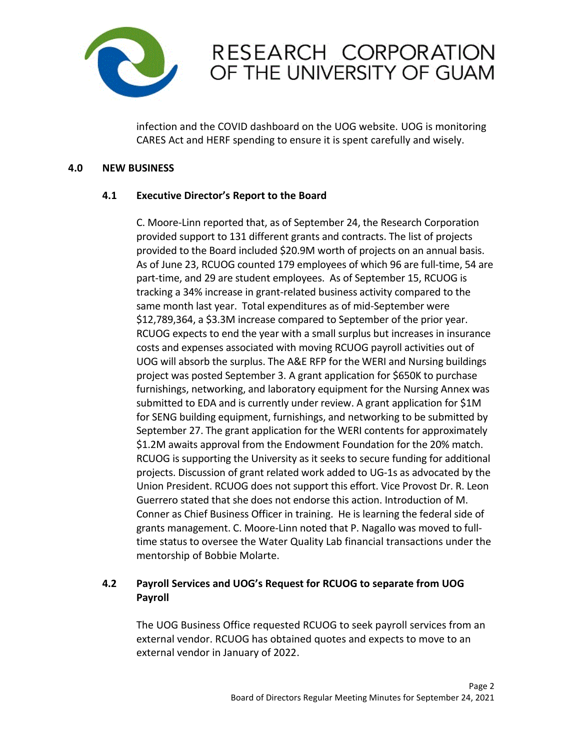

## RESEARCH CORPORATION OF THE UNIVERSITY OF GUAM

infection and the COVID dashboard on the UOG website. UOG is monitoring CARES Act and HERF spending to ensure it is spent carefully and wisely.

### **4.0 NEW BUSINESS**

## **4.1 Executive Director's Report to the Board**

C. Moore-Linn reported that, as of September 24, the Research Corporation provided support to 131 different grants and contracts. The list of projects provided to the Board included \$20.9M worth of projects on an annual basis. As of June 23, RCUOG counted 179 employees of which 96 are full-time, 54 are part-time, and 29 are student employees. As of September 15, RCUOG is tracking a 34% increase in grant-related business activity compared to the same month last year. Total expenditures as of mid-September were \$12,789,364, a \$3.3M increase compared to September of the prior year. RCUOG expects to end the year with a small surplus but increases in insurance costs and expenses associated with moving RCUOG payroll activities out of UOG will absorb the surplus. The A&E RFP for the WERI and Nursing buildings project was posted September 3. A grant application for \$650K to purchase furnishings, networking, and laboratory equipment for the Nursing Annex was submitted to EDA and is currently under review. A grant application for \$1M for SENG building equipment, furnishings, and networking to be submitted by September 27. The grant application for the WERI contents for approximately \$1.2M awaits approval from the Endowment Foundation for the 20% match. RCUOG is supporting the University as it seeks to secure funding for additional projects. Discussion of grant related work added to UG-1s as advocated by the Union President. RCUOG does not support this effort. Vice Provost Dr. R. Leon Guerrero stated that she does not endorse this action. Introduction of M. Conner as Chief Business Officer in training. He is learning the federal side of grants management. C. Moore-Linn noted that P. Nagallo was moved to fulltime status to oversee the Water Quality Lab financial transactions under the mentorship of Bobbie Molarte.

## **4.2 Payroll Services and UOG's Request for RCUOG to separate from UOG Payroll**

The UOG Business Office requested RCUOG to seek payroll services from an external vendor. RCUOG has obtained quotes and expects to move to an external vendor in January of 2022.